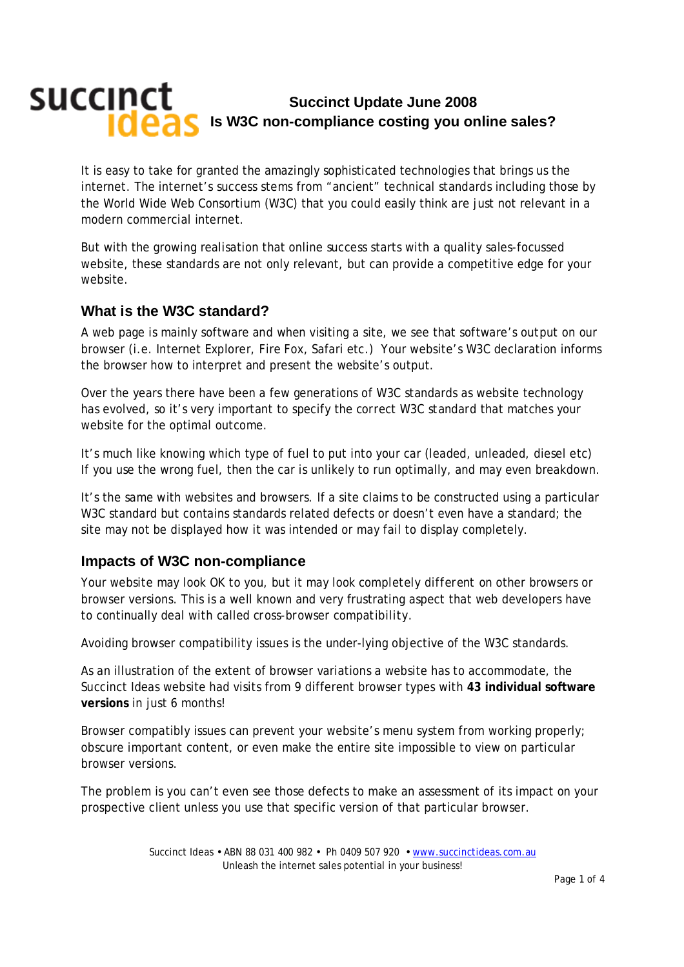# succinct **Succinct Update June 2008 Is W3C non-compliance costing you online sales?**

It is easy to take for granted the amazingly sophisticated technologies that brings us the internet. The internet's success stems from "ancient" technical standards including those by the World Wide Web Consortium (W3C) that you could easily think are just not relevant in a modern commercial internet.

But with the growing realisation that online success starts with a quality sales-focussed website, these standards are not only relevant, but can provide a competitive edge for your website.

### **What is the W3C standard?**

A web page is mainly software and when visiting a site, we see that software's *output* on our browser (i.e. Internet Explorer, Fire Fox, Safari etc.) Your website's W3C declaration informs the browser how to interpret and present the website's output.

Over the years there have been a few generations of W3C standards as website technology has evolved, so it's very important to specify the *correct W3C standard* that matches your website for the optimal outcome.

It's much like knowing which type of fuel to put into your car (leaded, unleaded, diesel etc) If you use the wrong fuel, then the car is unlikely to run optimally, and may even breakdown.

It's the same with websites and browsers. If a site claims to be constructed using a particular W3C standard but contains standards related defects or doesn't even have a standard; the site may not be displayed how it was intended or may fail to display completely.

#### **Impacts of W3C non-compliance**

Your website may look OK to you, but it may look *completely different* on other browsers or browser versions. This is a well known and very frustrating aspect that web developers have to continually deal with called *cross-browser compatibility*.

Avoiding browser compatibility issues is the under-lying objective of the W3C standards.

As an illustration of the extent of browser variations a website has to accommodate, the Succinct Ideas website had visits from 9 different browser types with **43 individual software versions** in just 6 months!

Browser compatibly issues can prevent your website's menu system from working properly; obscure important content, or even make the entire site impossible to view on particular browser versions.

The problem is you can't even see those defects to make an assessment of its impact on your prospective client unless you use that specific version of that particular browser.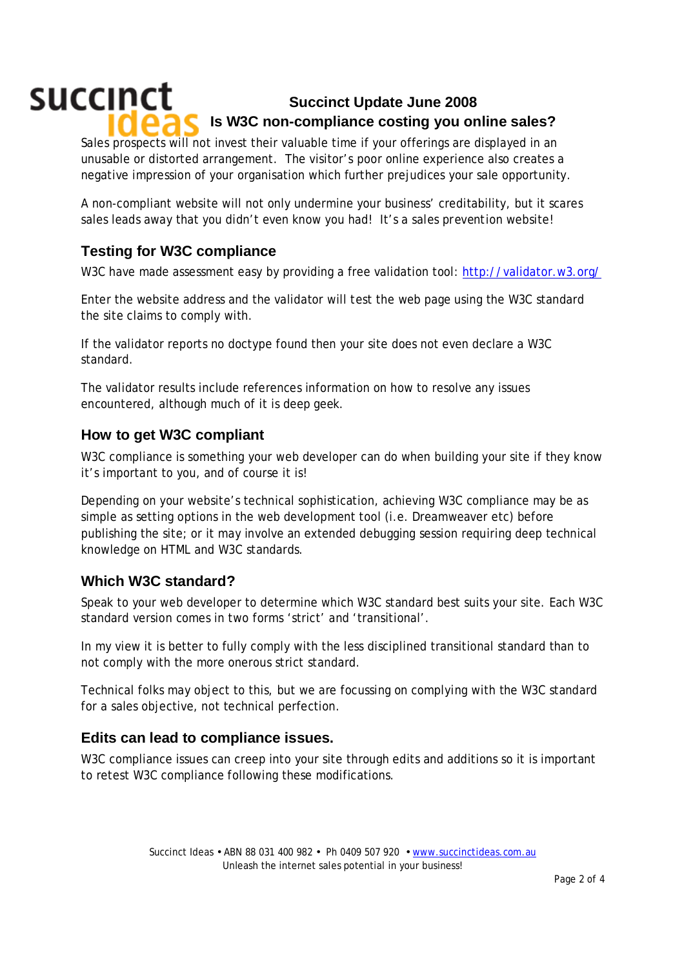# succinct **Succinct Update June 2008 Is W3C non-compliance costing you online sales?**

Sales prospects will not invest their valuable time if your offerings are displayed in an unusable or distorted arrangement. The visitor's poor online experience also creates a negative impression of your organisation which further prejudices your sale opportunity.

A non-compliant website will not only undermine your business' creditability, but it scares sales leads away that you didn't even know you had! It's a *sales prevention* website!

## **Testing for W3C compliance**

W3C have made assessment easy by providing a free validation tool: http://validator.w3.org/

Enter the website address and the validator will test the web page using the W3C standard the site claims to comply with.

If the validator reports *no doctype found* then your site does not even declare a W3C standard.

The validator results include references information on how to resolve any issues encountered, although much of it is *deep geek*.

### **How to get W3C compliant**

W3C compliance is something your web developer can do when building your site if they know it's important to you, and of course it is!

Depending on your website's technical sophistication, achieving W3C compliance may be as simple as setting options in the web development tool (i.e. Dreamweaver etc) before publishing the site; or it may involve an extended debugging session requiring deep technical knowledge on HTML and W3C standards.

## **Which W3C standard?**

Speak to your web developer to determine which W3C standard best suits your site. Each W3C standard version comes in two forms 'strict' and 'transitional'.

In my view it is better to fully comply with the less disciplined transitional standard than to not comply with the more onerous strict standard.

Technical folks may object to this, but we are focussing on *complying* with the W3C standard for a sales objective, not technical perfection.

#### **Edits can lead to compliance issues.**

W3C compliance issues can creep into your site through edits and additions so it is important to retest W3C compliance following these modifications.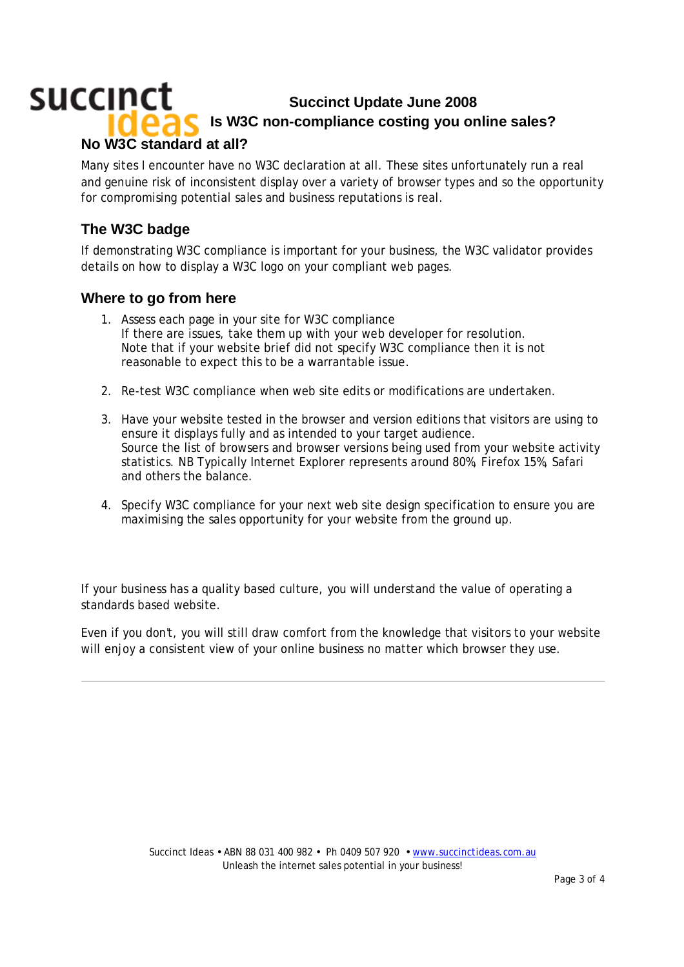## succinct **Succinct Update June 2008 Is W3C non-compliance costing you online sales? No W3C standard at all?**

Many sites I encounter have no W3C declaration at all. These sites unfortunately run a real and genuine risk of inconsistent display over a variety of browser types and so the opportunity for compromising potential sales and business reputations is real.

## **The W3C badge**

If demonstrating W3C compliance is important for your business, the W3C validator provides details on how to display a W3C logo on your compliant web pages.

#### **Where to go from here**

- 1. Assess each page in your site for W3C compliance If there are issues, take them up with your web developer for resolution. Note that if your website brief did not specify W3C compliance then it is not reasonable to expect this to be a warrantable issue.
- 2. Re-test W3C compliance when web site edits or modifications are undertaken.
- 3. Have your website tested in the browser and version editions that visitors are using to ensure it displays fully and as intended to your target audience. Source the list of browsers and browser versions being used from your website activity statistics. NB Typically Internet Explorer represents around 80%, Firefox 15%, Safari and others the balance.
- 4. Specify W3C compliance for your next web site design specification to ensure you are maximising the sales opportunity for your website from the ground up.

If your business has a quality based culture, you will understand the value of operating a standards based website.

Even if you don't, you will still draw comfort from the knowledge that visitors to your website will enjoy a consistent view of your online business no matter which browser they use.